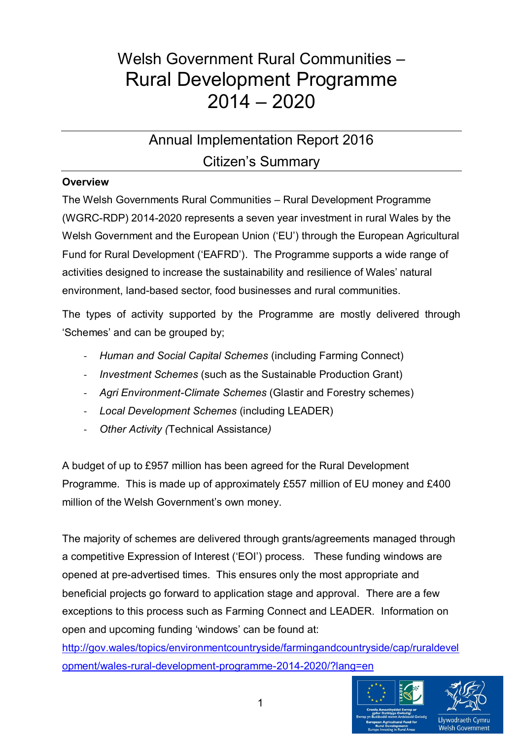# Welsh Government Rural Communities – Rural Development Programme 2014 – 2020

# Annual Implementation Report 2016 Citizen's Summary

### **Overview**

The Welsh Governments Rural Communities – Rural Development Programme (WGRC-RDP) 2014-2020 represents a seven year investment in rural Wales by the Welsh Government and the European Union ('EU') through the European Agricultural Fund for Rural Development ('EAFRD'). The Programme supports a wide range of activities designed to increase the sustainability and resilience of Wales' natural environment, land-based sector, food businesses and rural communities.

The types of activity supported by the Programme are mostly delivered through 'Schemes' and can be grouped by;

- *Human and Social Capital Schemes* (including Farming Connect)
- *Investment Schemes* (such as the Sustainable Production Grant)
- *Agri Environment-Climate Schemes* (Glastir and Forestry schemes)
- *Local Development Schemes* (including LEADER)
- *Other Activity (*Technical Assistance*)*

A budget of up to £957 million has been agreed for the Rural Development Programme. This is made up of approximately £557 million of EU money and £400 million of the Welsh Government's own money.

The majority of schemes are delivered through grants/agreements managed through a competitive Expression of Interest ('EOI') process. These funding windows are opened at pre-advertised times. This ensures only the most appropriate and beneficial projects go forward to application stage and approval. There are a few exceptions to this process such as Farming Connect and LEADER. Information on open and upcoming funding 'windows' can be found at:

[http://gov.wales/topics/environmentcountryside/farmingandcountryside/cap/ruraldevel](http://gov.wales/topics/environmentcountryside/farmingandcountryside/cap/ruraldevelopment/wales-rural-development-programme-2014-2020/?lang=en) [opment/wales-rural-development-programme-2014-2020/?lang=en](http://gov.wales/topics/environmentcountryside/farmingandcountryside/cap/ruraldevelopment/wales-rural-development-programme-2014-2020/?lang=en)

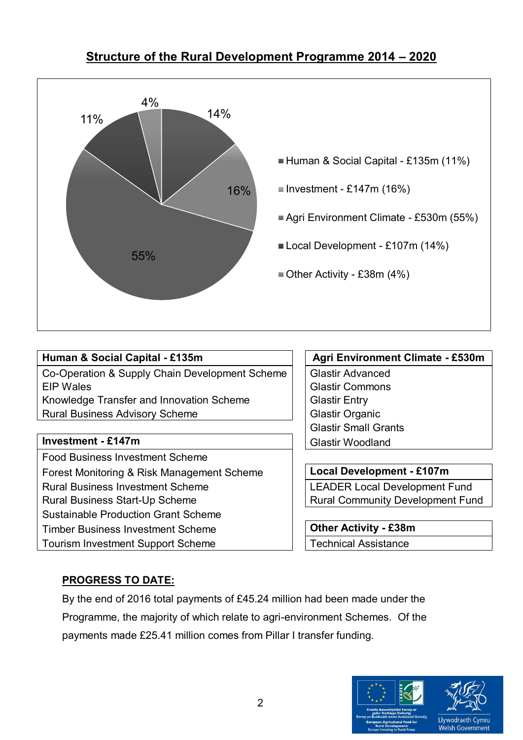# **Structure of the Rural Development Programme 2014 – 2020**



Co-Operation & Supply Chain Development Scheme | Glastir Advanced EIP Wales Glastir Commons Knowledge Transfer and Innovation Scheme Fig. | Glastir Entry

Rural Business Advisory Scheme Glastic Clastir Organic

# **Investment - £147m** Glastir Woodland

Food Business Investment Scheme Forest Monitoring & Risk Management Scheme **Local Development - £107m** Rural Business Investment Scheme Letter LEADER Local Development Fund Rural Business Start-Up Scheme Rural Community Development Fund Sustainable Production Grant Scheme Timber Business Investment Scheme **Other Activity - £38m** Tourism Investment Support Scheme Technical Assistance

# **Human & Social Capital - £135m Agri Environment Climate - £530m**

Glastir Small Grants

# **PROGRESS TO DATE:**

By the end of 2016 total payments of £45.24 million had been made under the Programme, the majority of which relate to agri-environment Schemes. Of the payments made £25.41 million comes from Pillar I transfer funding.

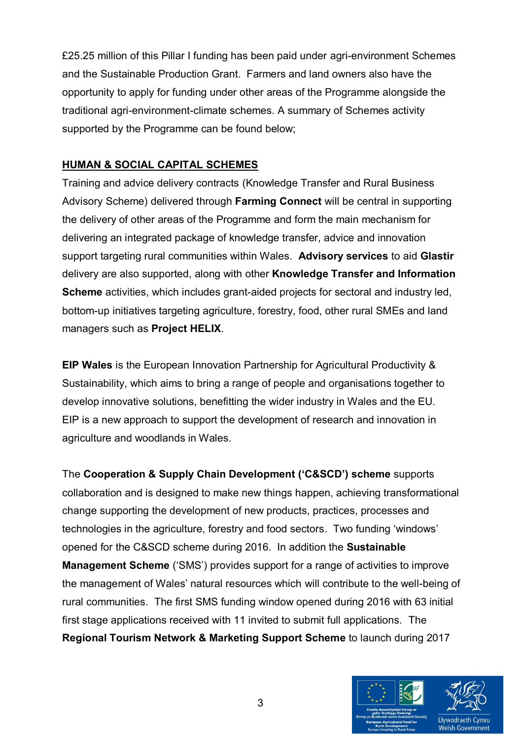£25.25 million of this Pillar I funding has been paid under agri-environment Schemes and the Sustainable Production Grant. Farmers and land owners also have the opportunity to apply for funding under other areas of the Programme alongside the traditional agri-environment-climate schemes. A summary of Schemes activity supported by the Programme can be found below;

## **HUMAN & SOCIAL CAPITAL SCHEMES**

Training and advice delivery contracts (Knowledge Transfer and Rural Business Advisory Scheme) delivered through **Farming Connect** will be central in supporting the delivery of other areas of the Programme and form the main mechanism for delivering an integrated package of knowledge transfer, advice and innovation support targeting rural communities within Wales. **Advisory services** to aid **Glastir**  delivery are also supported, along with other **Knowledge Transfer and Information Scheme** activities, which includes grant-aided projects for sectoral and industry led, bottom-up initiatives targeting agriculture, forestry, food, other rural SMEs and land managers such as **Project HELIX**.

**EIP Wales** is the European Innovation Partnership for Agricultural Productivity & Sustainability, which aims to bring a range of people and organisations together to develop innovative solutions, benefitting the wider industry in Wales and the EU. EIP is a new approach to support the development of research and innovation in agriculture and woodlands in Wales.

The **Cooperation & Supply Chain Development ('C&SCD') scheme** supports collaboration and is designed to make new things happen, achieving transformational change supporting the development of new products, practices, processes and technologies in the agriculture, forestry and food sectors. Two funding 'windows' opened for the C&SCD scheme during 2016. In addition the **Sustainable Management Scheme** ('SMS') provides support for a range of activities to improve the management of Wales' natural resources which will contribute to the well-being of rural communities. The first SMS funding window opened during 2016 with 63 initial first stage applications received with 11 invited to submit full applications. The **Regional Tourism Network & Marketing Support Scheme** to launch during 2017

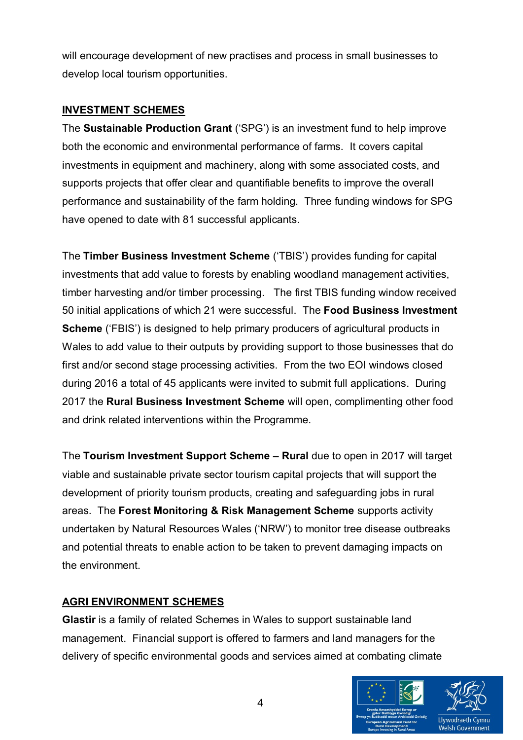will encourage development of new practises and process in small businesses to develop local tourism opportunities.

### **INVESTMENT SCHEMES**

The **Sustainable Production Grant** ('SPG') is an investment fund to help improve both the economic and environmental performance of farms. It covers capital investments in equipment and machinery, along with some associated costs, and supports projects that offer clear and quantifiable benefits to improve the overall performance and sustainability of the farm holding. Three funding windows for SPG have opened to date with 81 successful applicants.

The **Timber Business Investment Scheme** ('TBIS') provides funding for capital investments that add value to forests by enabling woodland management activities, timber harvesting and/or timber processing. The first TBIS funding window received 50 initial applications of which 21 were successful. The **Food Business Investment Scheme** ('FBIS') is designed to help primary producers of agricultural products in Wales to add value to their outputs by providing support to those businesses that do first and/or second stage processing activities. From the two EOI windows closed during 2016 a total of 45 applicants were invited to submit full applications. During 2017 the **Rural Business Investment Scheme** will open, complimenting other food and drink related interventions within the Programme.

The **Tourism Investment Support Scheme – Rural** due to open in 2017 will target viable and sustainable private sector tourism capital projects that will support the development of priority tourism products, creating and safeguarding jobs in rural areas. The **Forest Monitoring & Risk Management Scheme** supports activity undertaken by Natural Resources Wales ('NRW') to monitor tree disease outbreaks and potential threats to enable action to be taken to prevent damaging impacts on the environment.

# **AGRI ENVIRONMENT SCHEMES**

**Glastir** is a family of related Schemes in Wales to support sustainable land management. Financial support is offered to farmers and land managers for the delivery of specific environmental goods and services aimed at combating climate

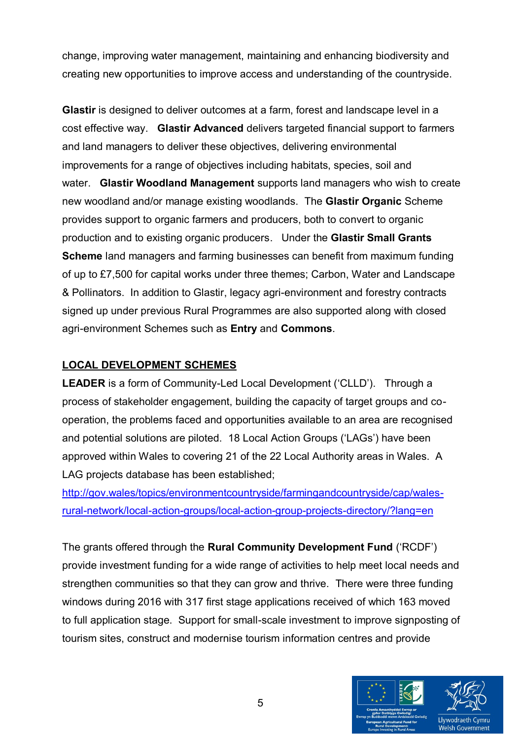change, improving water management, maintaining and enhancing biodiversity and creating new opportunities to improve access and understanding of the countryside.

**Glastir** is designed to deliver outcomes at a farm, forest and landscape level in a cost effective way. **Glastir Advanced** delivers targeted financial support to farmers and land managers to deliver these objectives, delivering environmental improvements for a range of objectives including habitats, species, soil and water. **Glastir Woodland Management** supports land managers who wish to create new woodland and/or manage existing woodlands. The **Glastir Organic** Scheme provides support to organic farmers and producers, both to convert to organic production and to existing organic producers. Under the **Glastir Small Grants Scheme** land managers and farming businesses can benefit from maximum funding of up to £7,500 for capital works under three themes; Carbon, Water and Landscape & Pollinators. In addition to Glastir, legacy agri-environment and forestry contracts signed up under previous Rural Programmes are also supported along with closed agri-environment Schemes such as **Entry** and **Commons**.

# **LOCAL DEVELOPMENT SCHEMES**

**LEADER** is a form of Community-Led Local Development ('CLLD'). Through a process of stakeholder engagement, building the capacity of target groups and cooperation, the problems faced and opportunities available to an area are recognised and potential solutions are piloted. 18 Local Action Groups ('LAGs') have been approved within Wales to covering 21 of the 22 Local Authority areas in Wales. A LAG projects database has been established;

[http://gov.wales/topics/environmentcountryside/farmingandcountryside/cap/wales](http://gov.wales/topics/environmentcountryside/farmingandcountryside/cap/wales-rural-network/local-action-groups/local-action-group-projects-directory/?lang=en)[rural-network/local-action-groups/local-action-group-projects-directory/?lang=en](http://gov.wales/topics/environmentcountryside/farmingandcountryside/cap/wales-rural-network/local-action-groups/local-action-group-projects-directory/?lang=en)

The grants offered through the **Rural Community Development Fund** ('RCDF') provide investment funding for a wide range of activities to help meet local needs and strengthen communities so that they can grow and thrive. There were three funding windows during 2016 with 317 first stage applications received of which 163 moved to full application stage. Support for small-scale investment to improve signposting of tourism sites, construct and modernise tourism information centres and provide